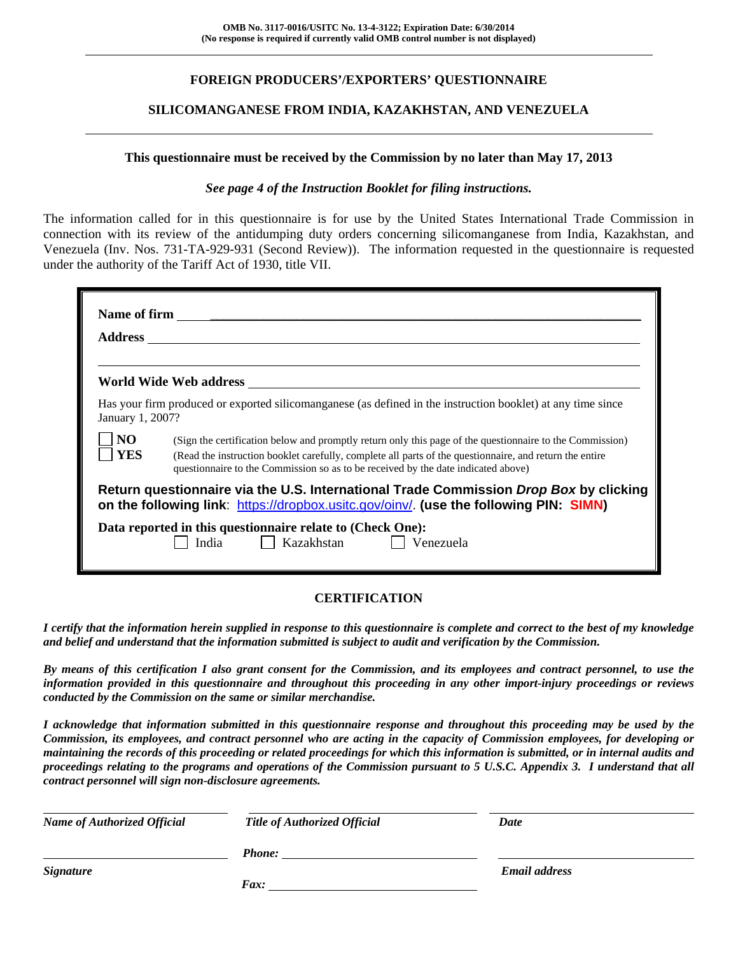# **FOREIGN PRODUCERS'/EXPORTERS' QUESTIONNAIRE**

## **SILICOMANGANESE FROM INDIA, KAZAKHSTAN, AND VENEZUELA**

#### **This questionnaire must be received by the Commission by no later than May 17, 2013**

#### *See page 4 of the Instruction Booklet for filing instructions.*

The information called for in this questionnaire is for use by the United States International Trade Commission in connection with its review of the antidumping duty orders concerning silicomanganese from India, Kazakhstan, and Venezuela (Inv. Nos. 731-TA-929-931 (Second Review)). The information requested in the questionnaire is requested under the authority of the Tariff Act of 1930, title VII.

| January 1, 2007?      | Has your firm produced or exported silicomanganese (as defined in the instruction booklet) at any time since                                                                                                                                                                                             |
|-----------------------|----------------------------------------------------------------------------------------------------------------------------------------------------------------------------------------------------------------------------------------------------------------------------------------------------------|
| N <sub>O</sub><br>YES | (Sign the certification below and promptly return only this page of the questionnaire to the Commission)<br>(Read the instruction booklet carefully, complete all parts of the questionnaire, and return the entire<br>questionnaire to the Commission so as to be received by the date indicated above) |
|                       | Return questionnaire via the U.S. International Trade Commission Drop Box by clicking<br>on the following link: https://dropbox.usitc.gov/oinv/. (use the following PIN: SIMN)                                                                                                                           |
|                       | Data reported in this questionnaire relate to (Check One):<br>India $\Box$ Kazakhstan $\Box$<br>Venezuela                                                                                                                                                                                                |

# **CERTIFICATION**

*I certify that the information herein supplied in response to this questionnaire is complete and correct to the best of my knowledge and belief and understand that the information submitted is subject to audit and verification by the Commission.* 

*By means of this certification I also grant consent for the Commission, and its employees and contract personnel, to use the information provided in this questionnaire and throughout this proceeding in any other import-injury proceedings or reviews conducted by the Commission on the same or similar merchandise.* 

*I acknowledge that information submitted in this questionnaire response and throughout this proceeding may be used by the Commission, its employees, and contract personnel who are acting in the capacity of Commission employees, for developing or maintaining the records of this proceeding or related proceedings for which this information is submitted, or in internal audits and proceedings relating to the programs and operations of the Commission pursuant to 5 U.S.C. Appendix 3. I understand that all contract personnel will sign non-disclosure agreements.* 

| <b>Name of Authorized Official</b> | <b>Title of Authorized Official</b> | Date                 |  |
|------------------------------------|-------------------------------------|----------------------|--|
|                                    | <b>Phone:</b>                       |                      |  |
| <b>Signature</b>                   |                                     | <b>Email address</b> |  |
|                                    | <i>Fax:</i>                         |                      |  |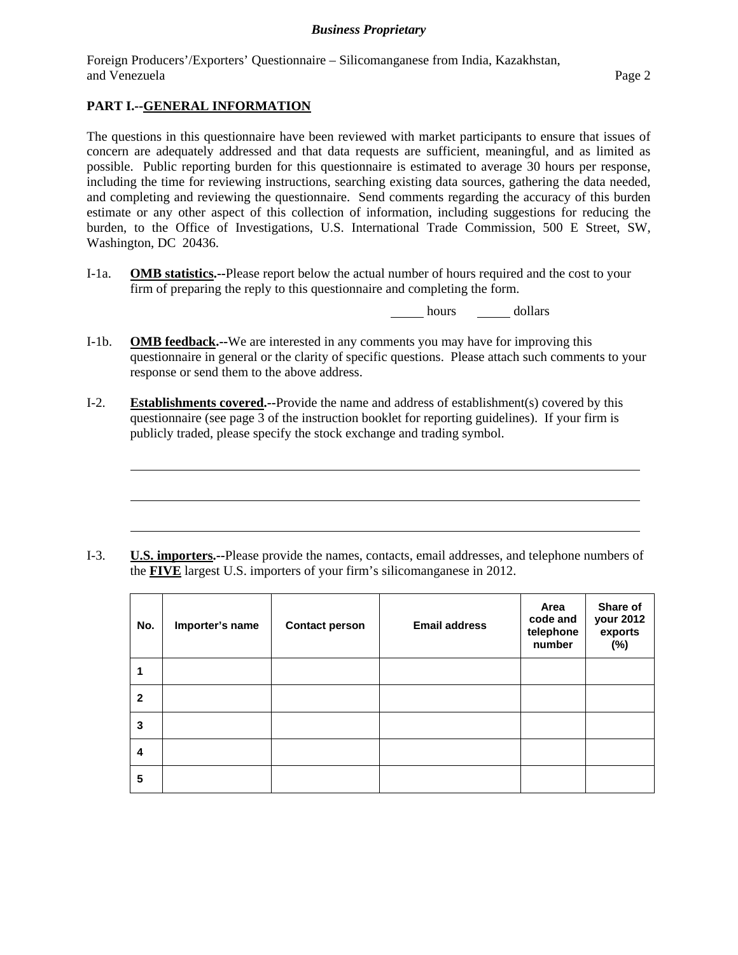Foreign Producers'/Exporters' Questionnaire – Silicomanganese from India, Kazakhstan, and Venezuela Page 2

# **PART I.--GENERAL INFORMATION**

l

The questions in this questionnaire have been reviewed with market participants to ensure that issues of concern are adequately addressed and that data requests are sufficient, meaningful, and as limited as possible. Public reporting burden for this questionnaire is estimated to average 30 hours per response, including the time for reviewing instructions, searching existing data sources, gathering the data needed, and completing and reviewing the questionnaire. Send comments regarding the accuracy of this burden estimate or any other aspect of this collection of information, including suggestions for reducing the burden, to the Office of Investigations, U.S. International Trade Commission, 500 E Street, SW, Washington, DC 20436.

I-1a. **OMB statistics.--**Please report below the actual number of hours required and the cost to your firm of preparing the reply to this questionnaire and completing the form.

hours dollars

- I-1b. **OMB feedback.--**We are interested in any comments you may have for improving this questionnaire in general or the clarity of specific questions. Please attach such comments to your response or send them to the above address.
- I-2. **Establishments covered.--**Provide the name and address of establishment(s) covered by this questionnaire (see page 3 of the instruction booklet for reporting guidelines). If your firm is publicly traded, please specify the stock exchange and trading symbol.

I-3. **U.S. importers.--**Please provide the names, contacts, email addresses, and telephone numbers of the **FIVE** largest U.S. importers of your firm's silicomanganese in 2012.

| No.                     | Importer's name | <b>Contact person</b> | <b>Email address</b> | Area<br>code and<br>telephone<br>number | Share of<br>your 2012<br>exports<br>$(\%)$ |
|-------------------------|-----------------|-----------------------|----------------------|-----------------------------------------|--------------------------------------------|
| 1                       |                 |                       |                      |                                         |                                            |
| $\mathbf{2}$            |                 |                       |                      |                                         |                                            |
| 3                       |                 |                       |                      |                                         |                                            |
| $\overline{\mathbf{4}}$ |                 |                       |                      |                                         |                                            |
| 5                       |                 |                       |                      |                                         |                                            |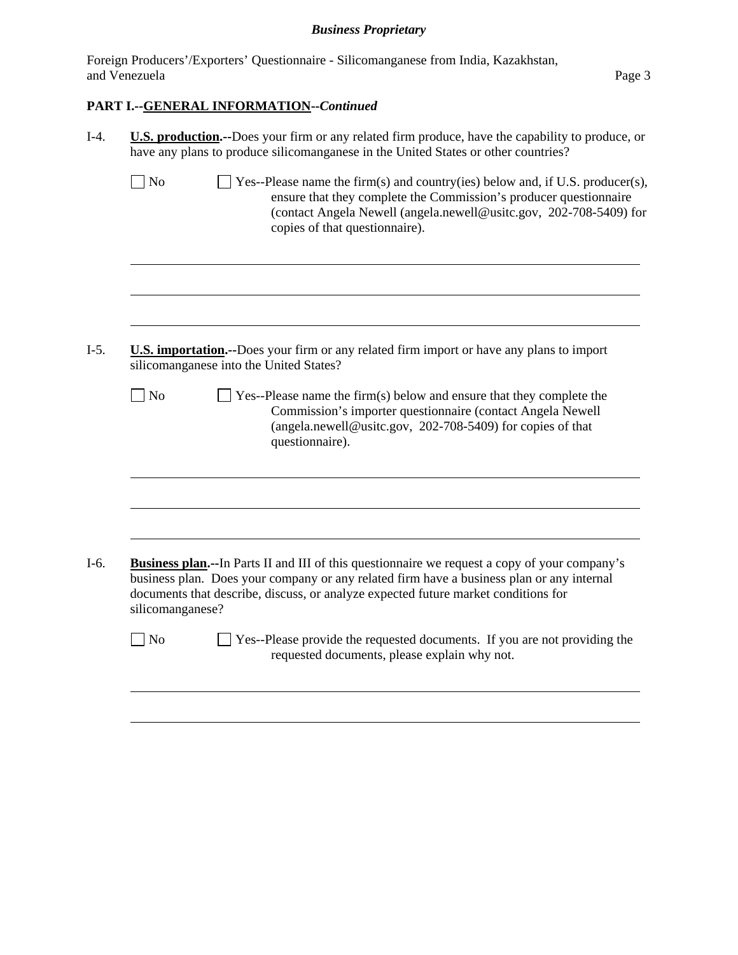Foreign Producers'/Exporters' Questionnaire - Silicomanganese from India, Kazakhstan, and Venezuela Page 3

# **PART I.--GENERAL INFORMATION--***Continued*

|                  | have any plans to produce silicomanganese in the United States or other countries?                                                                                                                                                                         |
|------------------|------------------------------------------------------------------------------------------------------------------------------------------------------------------------------------------------------------------------------------------------------------|
| No               | Yes--Please name the firm(s) and country(ies) below and, if U.S. producer(s),<br>ensure that they complete the Commission's producer questionnaire<br>(contact Angela Newell (angela.newell@usitc.gov, 202-708-5409) for<br>copies of that questionnaire). |
|                  |                                                                                                                                                                                                                                                            |
|                  | <b>U.S. importation.</b> --Does your firm or any related firm import or have any plans to import<br>silicomanganese into the United States?                                                                                                                |
| N <sub>o</sub>   | $\Box$ Yes--Please name the firm(s) below and ensure that they complete the<br>Commission's importer questionnaire (contact Angela Newell<br>(angela.newell@usitc.gov, 202-708-5409) for copies of that<br>questionnaire).                                 |
|                  | <b>Business plan.</b> --In Parts II and III of this questionnaire we request a copy of your company's                                                                                                                                                      |
|                  | business plan. Does your company or any related firm have a business plan or any internal<br>documents that describe, discuss, or analyze expected future market conditions for                                                                            |
| silicomanganese? |                                                                                                                                                                                                                                                            |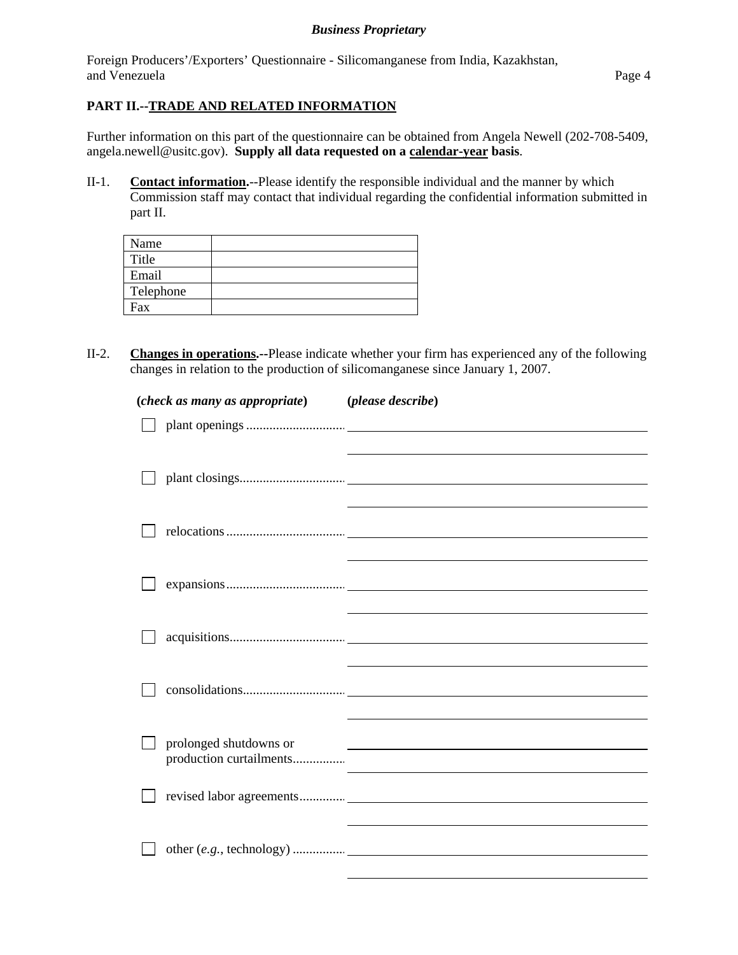Foreign Producers'/Exporters' Questionnaire - Silicomanganese from India, Kazakhstan, and Venezuela Page 4

# **PART II.--TRADE AND RELATED INFORMATION**

Further information on this part of the questionnaire can be obtained from Angela Newell (202-708-5409, angela.newell@usitc.gov). **Supply all data requested on a calendar-year basis**.

II-1. **Contact information.**--Please identify the responsible individual and the manner by which Commission staff may contact that individual regarding the confidential information submitted in part II.

| Name      |  |
|-----------|--|
| Title     |  |
| Email     |  |
| Telephone |  |
| Fax       |  |

II-2. **Changes in operations.--**Please indicate whether your firm has experienced any of the following changes in relation to the production of silicomanganese since January 1, 2007.

| (check as many as appropriate) (please describe)  |                                                                                                                       |
|---------------------------------------------------|-----------------------------------------------------------------------------------------------------------------------|
|                                                   |                                                                                                                       |
|                                                   |                                                                                                                       |
|                                                   |                                                                                                                       |
|                                                   |                                                                                                                       |
|                                                   |                                                                                                                       |
|                                                   |                                                                                                                       |
|                                                   |                                                                                                                       |
|                                                   |                                                                                                                       |
|                                                   |                                                                                                                       |
|                                                   |                                                                                                                       |
|                                                   |                                                                                                                       |
|                                                   |                                                                                                                       |
|                                                   |                                                                                                                       |
| prolonged shutdowns or<br>production curtailments | <u> 1980 - Johann Stein, marwolaethau a bhann an t-Amhainn an t-Amhainn an t-Amhainn an t-Amhainn an t-Amhainn an</u> |
|                                                   |                                                                                                                       |
|                                                   |                                                                                                                       |
|                                                   |                                                                                                                       |
|                                                   |                                                                                                                       |
|                                                   |                                                                                                                       |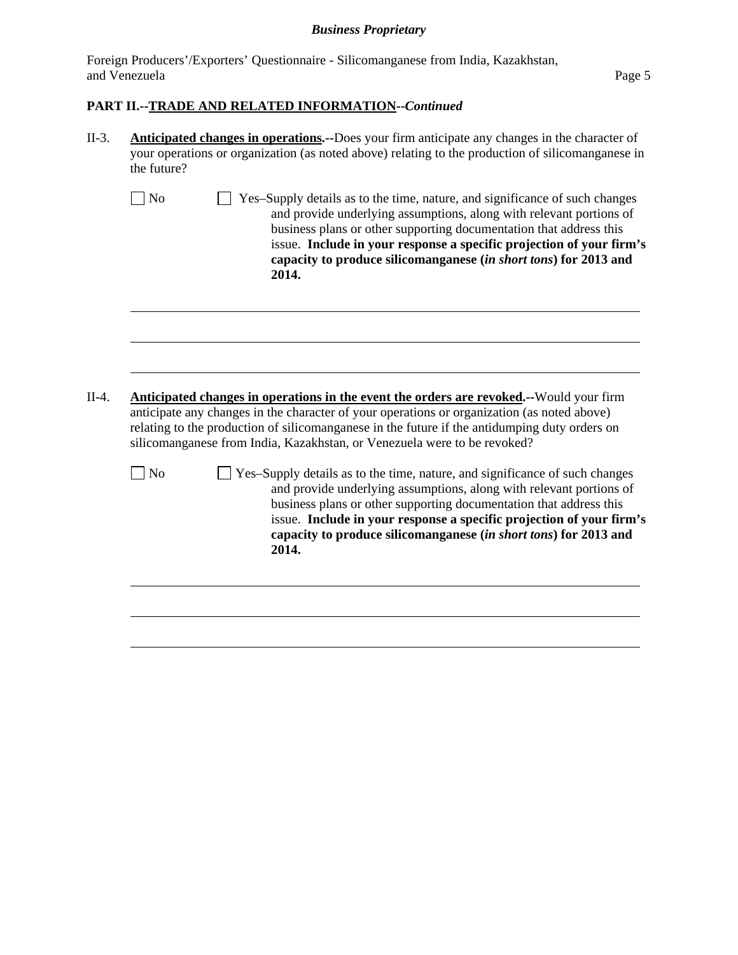Foreign Producers'/Exporters' Questionnaire - Silicomanganese from India, Kazakhstan, and Venezuela Page 5

## **PART II.--TRADE AND RELATED INFORMATION--***Continued*

l

l

- II-3. **Anticipated changes in operations.--**Does your firm anticipate any changes in the character of your operations or organization (as noted above) relating to the production of silicomanganese in the future?
	- No  $\Box$  Yes–Supply details as to the time, nature, and significance of such changes and provide underlying assumptions, along with relevant portions of business plans or other supporting documentation that address this issue. **Include in your response a specific projection of your firm's capacity to produce silicomanganese (***in short tons***) for 2013 and 2014.**

- II-4. **Anticipated changes in operations in the event the orders are revoked.--**Would your firm anticipate any changes in the character of your operations or organization (as noted above) relating to the production of silicomanganese in the future if the antidumping duty orders on silicomanganese from India, Kazakhstan, or Venezuela were to be revoked?
	- $\Box$  No  $\Box$  Yes–Supply details as to the time, nature, and significance of such changes and provide underlying assumptions, along with relevant portions of business plans or other supporting documentation that address this issue. **Include in your response a specific projection of your firm's capacity to produce silicomanganese (***in short tons***) for 2013 and 2014.**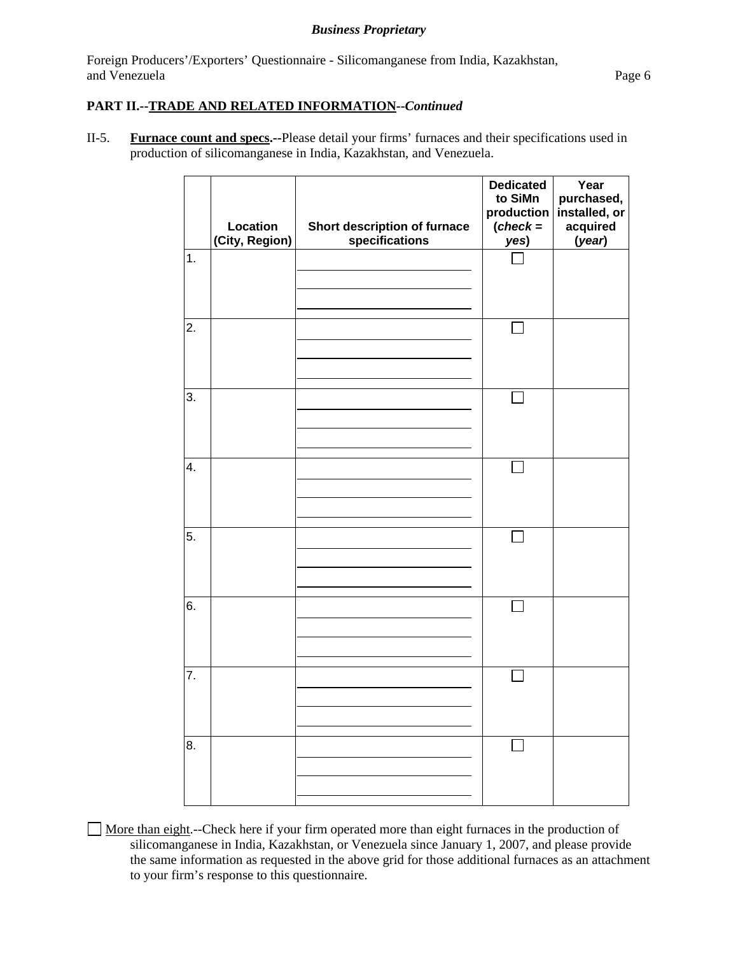Foreign Producers'/Exporters' Questionnaire - Silicomanganese from India, Kazakhstan, and Venezuela Page 6

# **PART II.--TRADE AND RELATED INFORMATION--***Continued*

II-5. **Furnace count and specs.--**Please detail your firms' furnaces and their specifications used in production of silicomanganese in India, Kazakhstan, and Venezuela.

|               | Location<br>(City, Region) | Short description of furnace<br>specifications | <b>Dedicated</b><br>to SiMn<br>production<br>$(check =$<br>yes) | Year<br>purchased,<br>installed, or<br>acquired<br>(year) |
|---------------|----------------------------|------------------------------------------------|-----------------------------------------------------------------|-----------------------------------------------------------|
| $\mathbf 1$ . |                            |                                                |                                                                 |                                                           |
| 2.            |                            |                                                |                                                                 |                                                           |
| 3.            |                            |                                                |                                                                 |                                                           |
| 4.            |                            |                                                |                                                                 |                                                           |
| 5.            |                            |                                                |                                                                 |                                                           |
| 6.            |                            |                                                |                                                                 |                                                           |
| 7.            |                            |                                                |                                                                 |                                                           |
| 8.            |                            |                                                |                                                                 |                                                           |

 More than eight.--Check here if your firm operated more than eight furnaces in the production of silicomanganese in India, Kazakhstan, or Venezuela since January 1, 2007, and please provide the same information as requested in the above grid for those additional furnaces as an attachment to your firm's response to this questionnaire.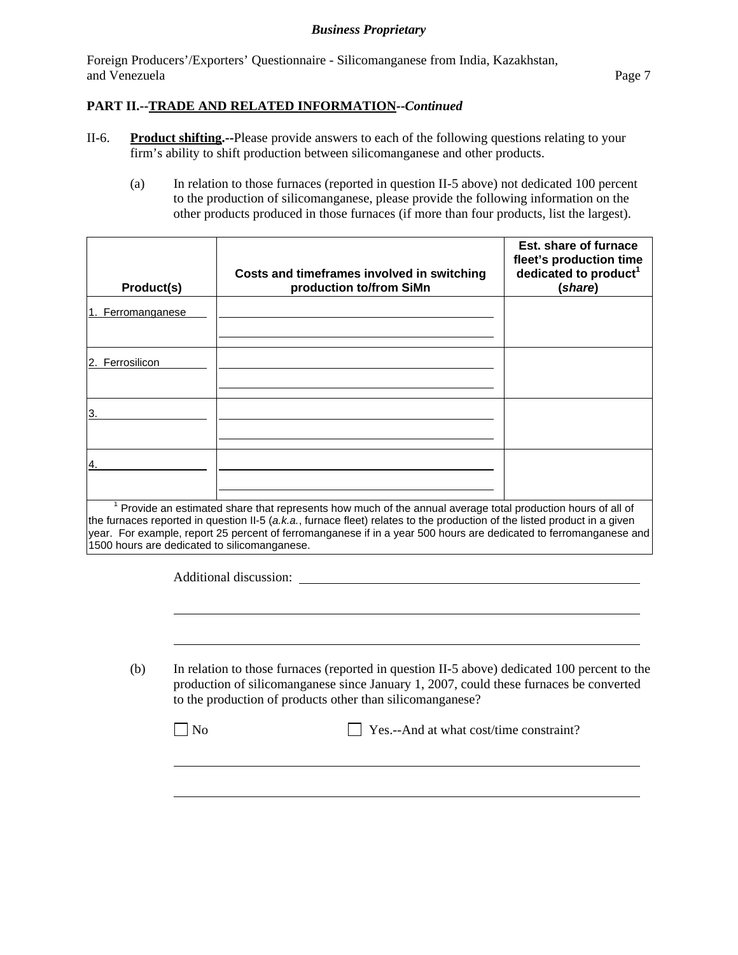Foreign Producers'/Exporters' Questionnaire - Silicomanganese from India, Kazakhstan, and Venezuela Page 7

# **PART II.--TRADE AND RELATED INFORMATION--***Continued*

- II-6. **Product shifting.--**Please provide answers to each of the following questions relating to your firm's ability to shift production between silicomanganese and other products.
	- (a) In relation to those furnaces (reported in question II-5 above) not dedicated 100 percent to the production of silicomanganese, please provide the following information on the other products produced in those furnaces (if more than four products, list the largest).

| Product(s)                                   | Costs and timeframes involved in switching<br>production to/from SiMn                                                                                                                                                                                                                                                                                            | Est. share of furnace<br>fleet's production time<br>dedicated to product <sup>1</sup><br>(share) |
|----------------------------------------------|------------------------------------------------------------------------------------------------------------------------------------------------------------------------------------------------------------------------------------------------------------------------------------------------------------------------------------------------------------------|--------------------------------------------------------------------------------------------------|
| 1. Ferromanganese                            |                                                                                                                                                                                                                                                                                                                                                                  |                                                                                                  |
| 2. Ferrosilicon                              |                                                                                                                                                                                                                                                                                                                                                                  |                                                                                                  |
|                                              |                                                                                                                                                                                                                                                                                                                                                                  |                                                                                                  |
|                                              |                                                                                                                                                                                                                                                                                                                                                                  |                                                                                                  |
| 1500 hours are dedicated to silicomanganese. | $1$ Provide an estimated share that represents how much of the annual average total production hours of all of<br>the furnaces reported in question II-5 (a.k.a., furnace fleet) relates to the production of the listed product in a given<br>year. For example, report 25 percent of ferromanganese if in a year 500 hours are dedicated to ferromanganese and |                                                                                                  |

Additional discussion:

l

(b) In relation to those furnaces (reported in question II-5 above) dedicated 100 percent to the production of silicomanganese since January 1, 2007, could these furnaces be converted to the production of products other than silicomanganese?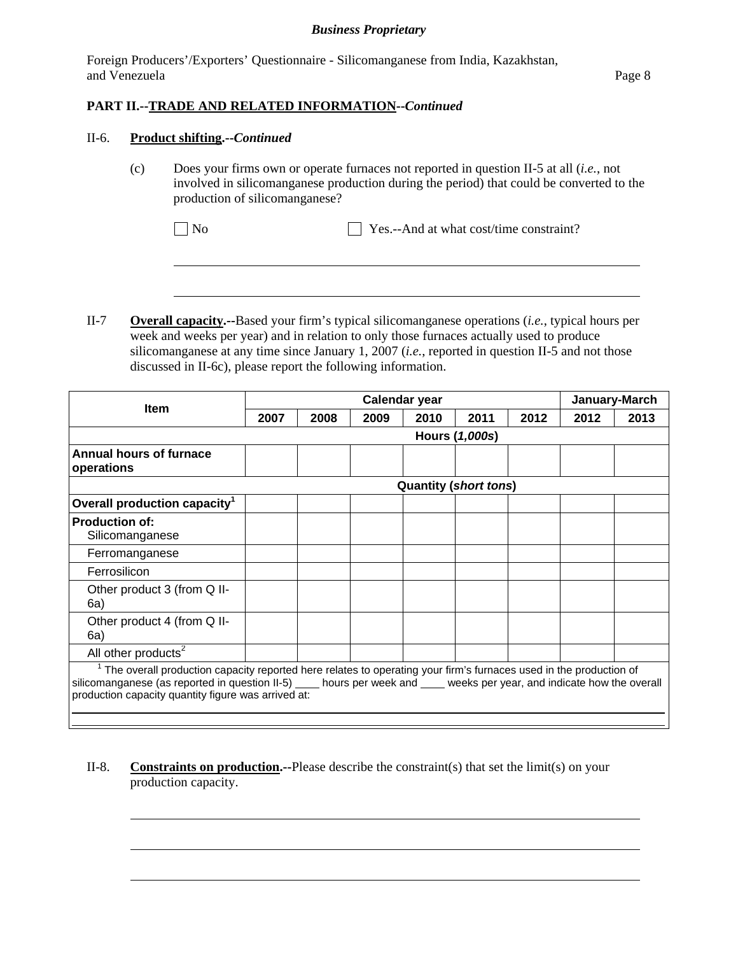Foreign Producers'/Exporters' Questionnaire - Silicomanganese from India, Kazakhstan, and Venezuela Page 8

# **PART II.--TRADE AND RELATED INFORMATION--***Continued*

#### II-6. **Product shifting.--***Continued*

l

l

(c) Does your firms own or operate furnaces not reported in question II-5 at all (*i.e.*, not involved in silicomanganese production during the period) that could be converted to the production of silicomanganese?

No Yes.--And at what cost/time constraint?

II-7 **Overall capacity.--**Based your firm's typical silicomanganese operations (*i.e.*, typical hours per week and weeks per year) and in relation to only those furnaces actually used to produce silicomanganese at any time since January 1, 2007 (*i.e.*, reported in question II-5 and not those discussed in II-6c), please report the following information.

|                                                                                                                                                                                                                                                                                            |      | Calendar year |      |                              |                |      | January-March |      |
|--------------------------------------------------------------------------------------------------------------------------------------------------------------------------------------------------------------------------------------------------------------------------------------------|------|---------------|------|------------------------------|----------------|------|---------------|------|
| <b>Item</b>                                                                                                                                                                                                                                                                                | 2007 | 2008          | 2009 | 2010                         | 2011           | 2012 | 2012          | 2013 |
|                                                                                                                                                                                                                                                                                            |      |               |      |                              | Hours (1,000s) |      |               |      |
| <b>Annual hours of furnace</b><br>operations                                                                                                                                                                                                                                               |      |               |      |                              |                |      |               |      |
|                                                                                                                                                                                                                                                                                            |      |               |      | <b>Quantity (short tons)</b> |                |      |               |      |
| Overall production capacity <sup>1</sup>                                                                                                                                                                                                                                                   |      |               |      |                              |                |      |               |      |
| <b>Production of:</b><br>Silicomanganese                                                                                                                                                                                                                                                   |      |               |      |                              |                |      |               |      |
| Ferromanganese                                                                                                                                                                                                                                                                             |      |               |      |                              |                |      |               |      |
| Ferrosilicon                                                                                                                                                                                                                                                                               |      |               |      |                              |                |      |               |      |
| Other product 3 (from Q II-<br>6a)                                                                                                                                                                                                                                                         |      |               |      |                              |                |      |               |      |
| Other product 4 (from Q II-<br>6a)                                                                                                                                                                                                                                                         |      |               |      |                              |                |      |               |      |
| All other products <sup>2</sup>                                                                                                                                                                                                                                                            |      |               |      |                              |                |      |               |      |
| The overall production capacity reported here relates to operating your firm's furnaces used in the production of<br>silicomanganese (as reported in question II-5) hours per week and weeks per year, and indicate how the overall<br>production capacity quantity figure was arrived at: |      |               |      |                              |                |      |               |      |

II-8. **Constraints on production.--**Please describe the constraint(s) that set the limit(s) on your production capacity.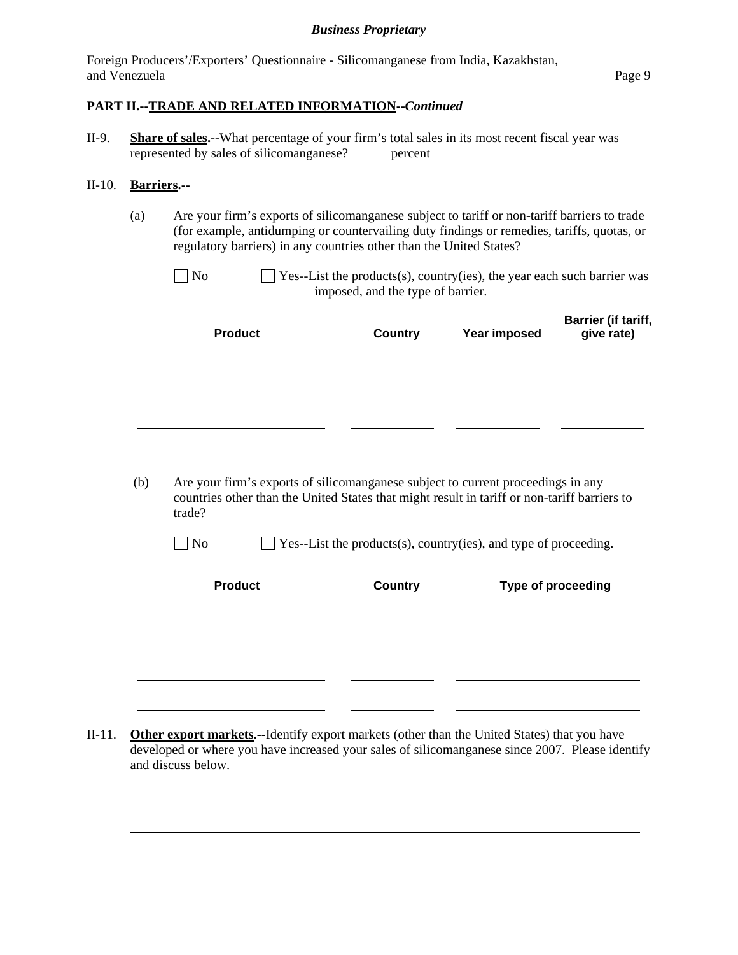Foreign Producers'/Exporters' Questionnaire - Silicomanganese from India, Kazakhstan, and Venezuela Page 9

## **PART II.--TRADE AND RELATED INFORMATION--***Continued*

II-9. **Share of sales.--**What percentage of your firm's total sales in its most recent fiscal year was represented by sales of silicomanganese? \_\_\_\_\_ percent

#### II-10. **Barriers.--**

l

(a) Are your firm's exports of silicomanganese subject to tariff or non-tariff barriers to trade (for example, antidumping or countervailing duty findings or remedies, tariffs, quotas, or regulatory barriers) in any countries other than the United States?

| $\Box$ No | $\Box$ Yes--List the products(s), country(ies), the year each such barrier was |
|-----------|--------------------------------------------------------------------------------|
|           | imposed, and the type of barrier.                                              |
|           |                                                                                |

|     | <b>Product</b>                                                                                                                                                                             | <b>Country</b> | Year imposed | Barrier (if tariff,<br>give rate) |
|-----|--------------------------------------------------------------------------------------------------------------------------------------------------------------------------------------------|----------------|--------------|-----------------------------------|
|     |                                                                                                                                                                                            |                |              |                                   |
|     |                                                                                                                                                                                            |                |              |                                   |
| (b) | Are your firm's exports of silicomanganese subject to current proceedings in any<br>countries other than the United States that might result in tariff or non-tariff barriers to<br>trade? |                |              |                                   |

| N <sub>o</sub> | $\Box$ Yes--List the products(s), country(ies), and type of proceeding. |
|----------------|-------------------------------------------------------------------------|
|                |                                                                         |

| <b>Product</b> | <b>Country</b> | Type of proceeding |
|----------------|----------------|--------------------|
|                |                |                    |
|                |                |                    |
|                |                |                    |

II-11. **Other export markets.--**Identify export markets (other than the United States) that you have developed or where you have increased your sales of silicomanganese since 2007. Please identify and discuss below.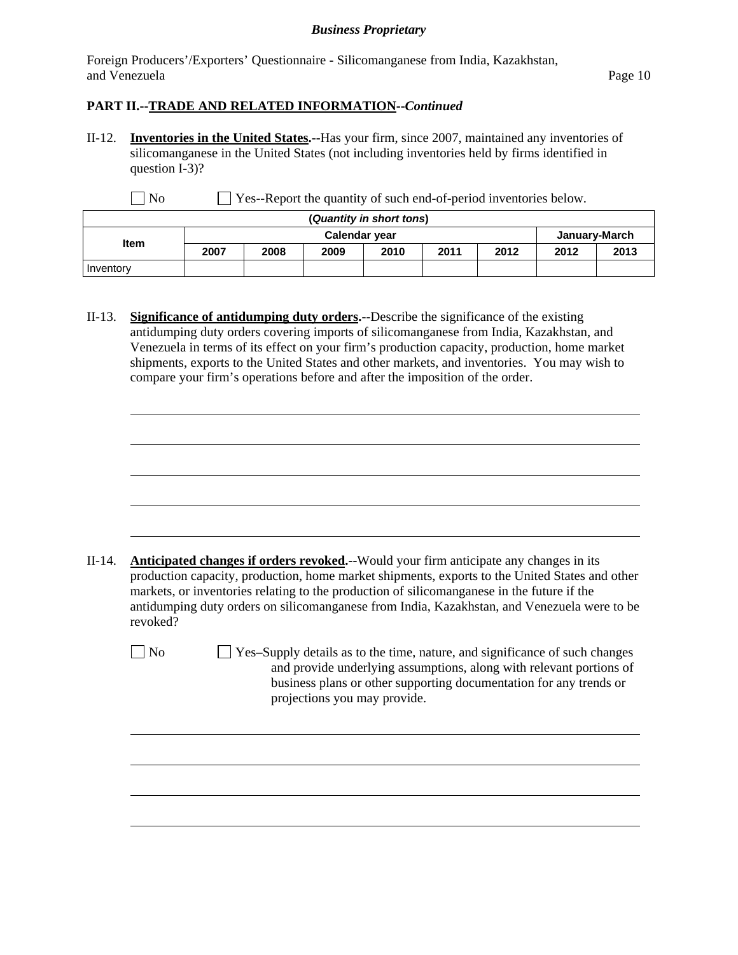Foreign Producers'/Exporters' Questionnaire - Silicomanganese from India, Kazakhstan, and Venezuela **Page 10** 

## **PART II.--TRADE AND RELATED INFORMATION--***Continued*

l

l

II-12. **Inventories in the United States.--**Has your firm, since 2007, maintained any inventories of silicomanganese in the United States (not including inventories held by firms identified in question I-3)?

No Ses--Report the quantity of such end-of-period inventories below.

| (Quantity in short tons) |                      |      |      |      |      |               |      |      |
|--------------------------|----------------------|------|------|------|------|---------------|------|------|
| <b>Item</b>              | <b>Calendar year</b> |      |      |      |      | January-March |      |      |
|                          | 2007                 | 2008 | 2009 | 2010 | 2011 | 2012          | 2012 | 2013 |
| Inventory                |                      |      |      |      |      |               |      |      |

II-13. **Significance of antidumping duty orders.--**Describe the significance of the existing antidumping duty orders covering imports of silicomanganese from India, Kazakhstan, and Venezuela in terms of its effect on your firm's production capacity, production, home market shipments, exports to the United States and other markets, and inventories. You may wish to compare your firm's operations before and after the imposition of the order.

| II-14. | <b>Anticipated changes if orders revoked.--</b> Would your firm anticipate any changes in its  |
|--------|------------------------------------------------------------------------------------------------|
|        | production capacity, production, home market shipments, exports to the United States and other |
|        | markets, or inventories relating to the production of silicomanganese in the future if the     |
|        | antidumping duty orders on silicomanganese from India, Kazakhstan, and Venezuela were to be    |
|        | revoked?                                                                                       |

 $\Box$  No  $\Box$  Yes–Supply details as to the time, nature, and significance of such changes and provide underlying assumptions, along with relevant portions of business plans or other supporting documentation for any trends or projections you may provide.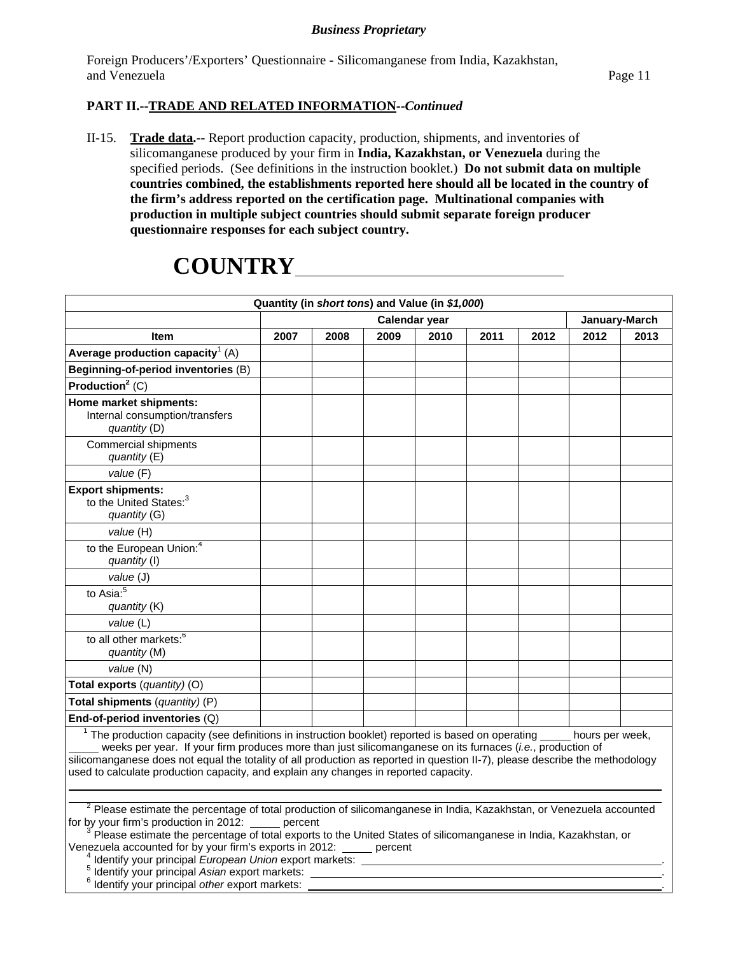Foreign Producers'/Exporters' Questionnaire - Silicomanganese from India, Kazakhstan, and Venezuela Page 11

# **PART II.--TRADE AND RELATED INFORMATION--***Continued*

II-15. **Trade data.--** Report production capacity, production, shipments, and inventories of silicomanganese produced by your firm in **India, Kazakhstan, or Venezuela** during the specified periods. (See definitions in the instruction booklet.) **Do not submit data on multiple countries combined, the establishments reported here should all be located in the country of the firm's address reported on the certification page. Multinational companies with production in multiple subject countries should submit separate foreign producer questionnaire responses for each subject country.** 

# **COUNTRY**

| Quantity (in short tons) and Value (in \$1,000)                                                                                                                                                                                                                                                                                                                                                                                                                                                                     |                                |      |      |      |      |      |      |      |
|---------------------------------------------------------------------------------------------------------------------------------------------------------------------------------------------------------------------------------------------------------------------------------------------------------------------------------------------------------------------------------------------------------------------------------------------------------------------------------------------------------------------|--------------------------------|------|------|------|------|------|------|------|
|                                                                                                                                                                                                                                                                                                                                                                                                                                                                                                                     | Calendar year<br>January-March |      |      |      |      |      |      |      |
| <b>Item</b>                                                                                                                                                                                                                                                                                                                                                                                                                                                                                                         | 2007                           | 2008 | 2009 | 2010 | 2011 | 2012 | 2012 | 2013 |
| Average production capacity <sup>1</sup> (A)                                                                                                                                                                                                                                                                                                                                                                                                                                                                        |                                |      |      |      |      |      |      |      |
| Beginning-of-period inventories (B)                                                                                                                                                                                                                                                                                                                                                                                                                                                                                 |                                |      |      |      |      |      |      |      |
| Production <sup>2</sup> $(C)$                                                                                                                                                                                                                                                                                                                                                                                                                                                                                       |                                |      |      |      |      |      |      |      |
| Home market shipments:<br>Internal consumption/transfers<br>quantity (D)                                                                                                                                                                                                                                                                                                                                                                                                                                            |                                |      |      |      |      |      |      |      |
| <b>Commercial shipments</b><br>quantity (E)                                                                                                                                                                                                                                                                                                                                                                                                                                                                         |                                |      |      |      |      |      |      |      |
| value (F)                                                                                                                                                                                                                                                                                                                                                                                                                                                                                                           |                                |      |      |      |      |      |      |      |
| <b>Export shipments:</b><br>to the United States: <sup>3</sup><br>quantity (G)                                                                                                                                                                                                                                                                                                                                                                                                                                      |                                |      |      |      |      |      |      |      |
| value (H)                                                                                                                                                                                                                                                                                                                                                                                                                                                                                                           |                                |      |      |      |      |      |      |      |
| to the European Union: <sup>4</sup><br>quantity (I)                                                                                                                                                                                                                                                                                                                                                                                                                                                                 |                                |      |      |      |      |      |      |      |
| value (J)                                                                                                                                                                                                                                                                                                                                                                                                                                                                                                           |                                |      |      |      |      |      |      |      |
| to Asia: <sup>5</sup><br>quantity (K)                                                                                                                                                                                                                                                                                                                                                                                                                                                                               |                                |      |      |      |      |      |      |      |
| value (L)                                                                                                                                                                                                                                                                                                                                                                                                                                                                                                           |                                |      |      |      |      |      |      |      |
| to all other markets: <sup>6</sup><br>quantity (M)                                                                                                                                                                                                                                                                                                                                                                                                                                                                  |                                |      |      |      |      |      |      |      |
| value (N)                                                                                                                                                                                                                                                                                                                                                                                                                                                                                                           |                                |      |      |      |      |      |      |      |
| Total exports (quantity) (O)                                                                                                                                                                                                                                                                                                                                                                                                                                                                                        |                                |      |      |      |      |      |      |      |
| Total shipments (quantity) (P)                                                                                                                                                                                                                                                                                                                                                                                                                                                                                      |                                |      |      |      |      |      |      |      |
| End-of-period inventories (Q)                                                                                                                                                                                                                                                                                                                                                                                                                                                                                       |                                |      |      |      |      |      |      |      |
| $1$ The production capacity (see definitions in instruction booklet) reported is based on operating $\_\_\_\_$ hours per week,<br>weeks per year. If your firm produces more than just silicomanganese on its furnaces (i.e., production of<br>silicomanganese does not equal the totality of all production as reported in question II-7), please describe the methodology<br>used to calculate production capacity, and explain any changes in reported capacity.                                                 |                                |      |      |      |      |      |      |      |
| $2$ Please estimate the percentage of total production of silicomanganese in India, Kazakhstan, or Venezuela accounted<br>for by your firm's production in 2012:<br>Please estimate the percentage of total exports to the United States of silicomanganese in India, Kazakhstan, or<br>Venezuela accounted for by your firm's exports in 2012: percent<br>Identify your principal European Union export markets:<br>Identify your principal Asian export markets:<br>Identify your principal other export markets: | percent                        |      |      |      |      |      |      |      |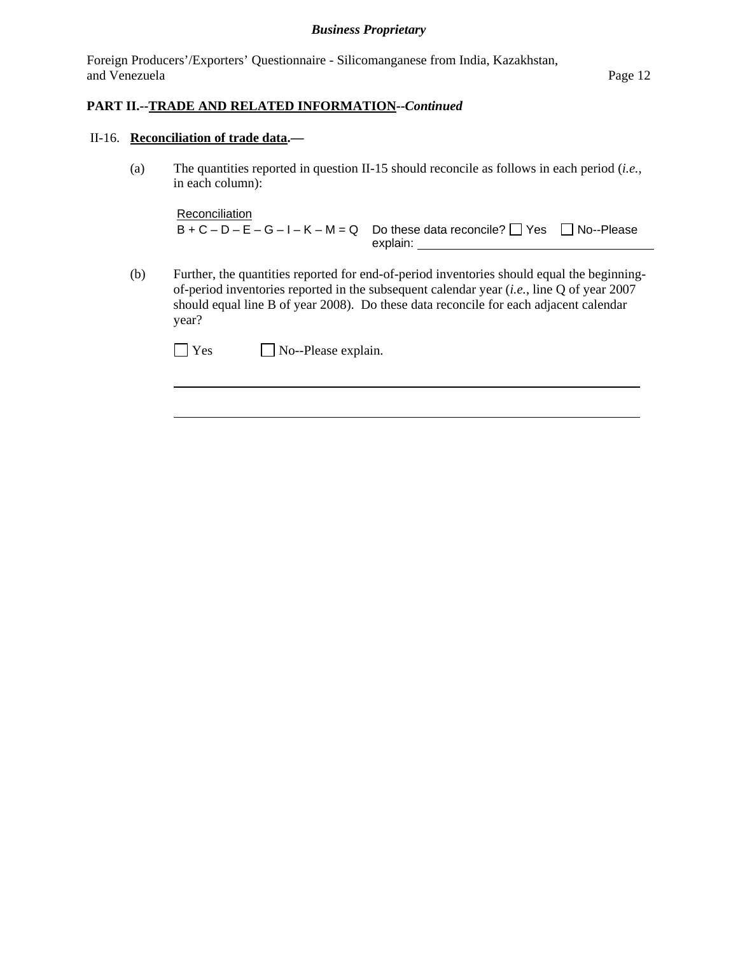Foreign Producers'/Exporters' Questionnaire - Silicomanganese from India, Kazakhstan, and Venezuela **Page 12** 

## **PART II.--TRADE AND RELATED INFORMATION--***Continued*

#### II-16. **Reconciliation of trade data.—**

 $\overline{a}$ 

(a) The quantities reported in question II-15 should reconcile as follows in each period (*i.e.*, in each column):

Reconciliation  $B + C - D - E - G - I - K - M = Q$  Do these data reconcile?  $\Box$  Yes  $\Box$  No--Please explain: \_\_

(b) Further, the quantities reported for end-of-period inventories should equal the beginningof-period inventories reported in the subsequent calendar year (*i.e.*, line Q of year 2007 should equal line B of year 2008). Do these data reconcile for each adjacent calendar year?

| $\Box$ Yes | $\Box$ No--Please explain. |
|------------|----------------------------|
|------------|----------------------------|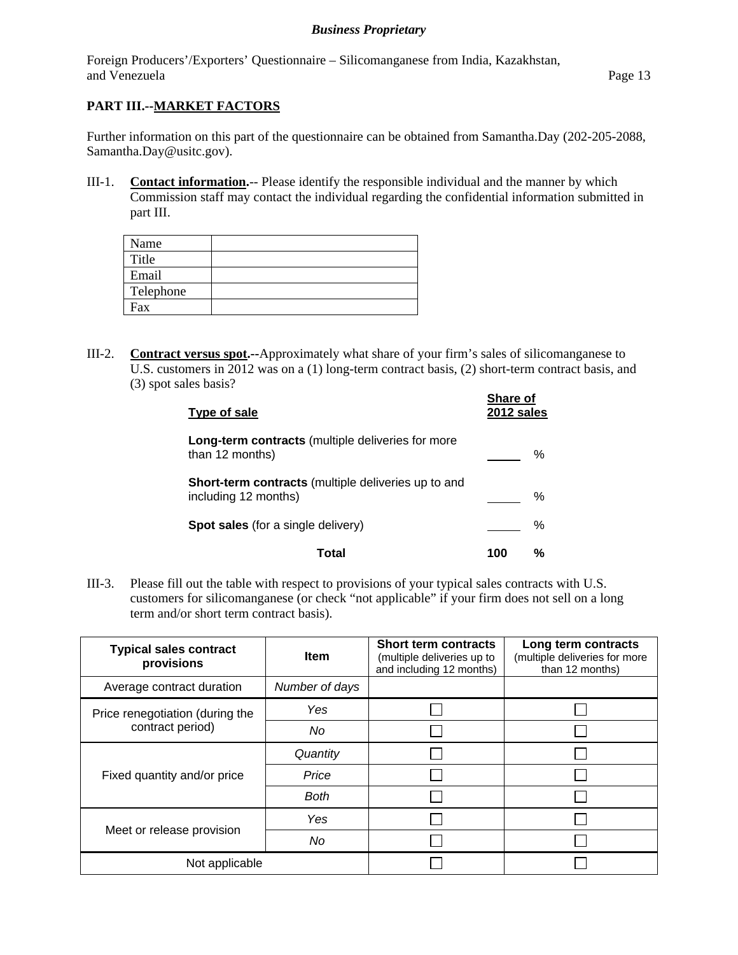Foreign Producers'/Exporters' Questionnaire – Silicomanganese from India, Kazakhstan, and Venezuela Page 13

# **PART III.--MARKET FACTORS**

Further information on this part of the questionnaire can be obtained from Samantha.Day (202-205-2088, Samantha.Day@usitc.gov).

III-1. **Contact information.**-- Please identify the responsible individual and the manner by which Commission staff may contact the individual regarding the confidential information submitted in part III.

| Name      |  |
|-----------|--|
| Title     |  |
| Email     |  |
| Telephone |  |
| Fax       |  |

III-2. **Contract versus spot.--**Approximately what share of your firm's sales of silicomanganese to U.S. customers in 2012 was on a (1) long-term contract basis, (2) short-term contract basis, and (3) spot sales basis? **Share of** 

| Type of sale                                                                       | <b>Share of</b><br>2012 sales |   |
|------------------------------------------------------------------------------------|-------------------------------|---|
| <b>Long-term contracts</b> (multiple deliveries for more<br>than 12 months)        |                               | ℅ |
| <b>Short-term contracts</b> (multiple deliveries up to and<br>including 12 months) |                               | ℅ |
| <b>Spot sales</b> (for a single delivery)                                          |                               | % |
| Total                                                                              | 100                           | ℅ |

III-3. Please fill out the table with respect to provisions of your typical sales contracts with U.S. customers for silicomanganese (or check "not applicable" if your firm does not sell on a long term and/or short term contract basis).

| <b>Typical sales contract</b><br>provisions | <b>Item</b>    | <b>Short term contracts</b><br>(multiple deliveries up to<br>and including 12 months) | Long term contracts<br>(multiple deliveries for more<br>than 12 months) |
|---------------------------------------------|----------------|---------------------------------------------------------------------------------------|-------------------------------------------------------------------------|
| Average contract duration                   | Number of days |                                                                                       |                                                                         |
| Price renegotiation (during the             | Yes            |                                                                                       |                                                                         |
| contract period)                            | No             |                                                                                       |                                                                         |
| Fixed quantity and/or price                 | Quantity       |                                                                                       |                                                                         |
|                                             | Price          |                                                                                       |                                                                         |
|                                             | <b>Both</b>    |                                                                                       |                                                                         |
|                                             | Yes            |                                                                                       |                                                                         |
| Meet or release provision                   | No             |                                                                                       |                                                                         |
| Not applicable                              |                |                                                                                       |                                                                         |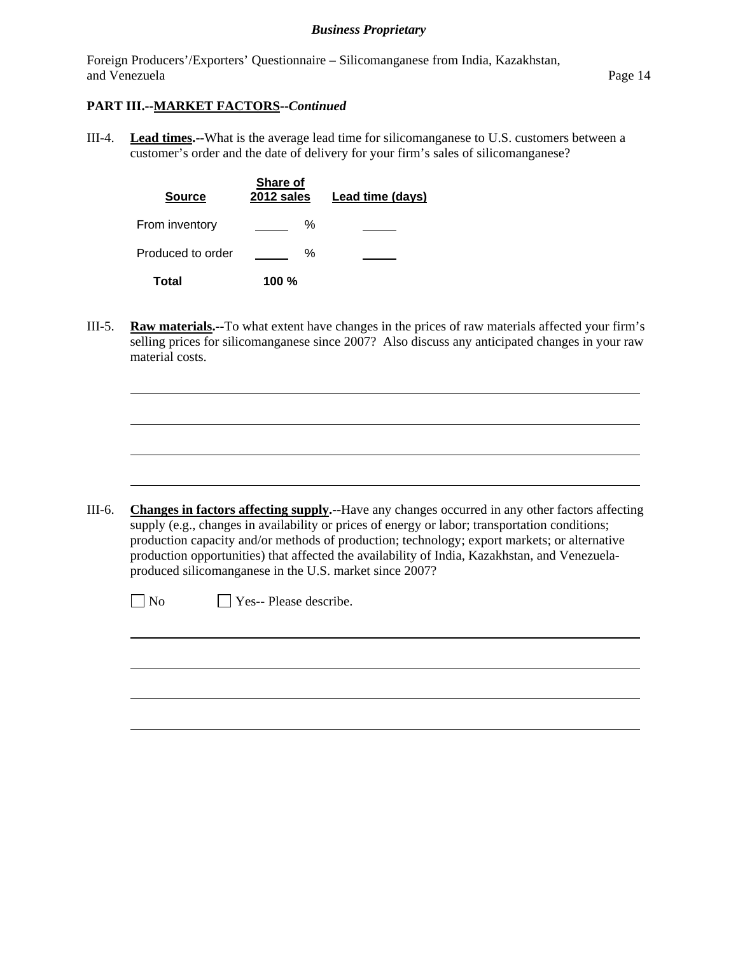Foreign Producers'/Exporters' Questionnaire – Silicomanganese from India, Kazakhstan, and Venezuela Page 14

## **PART III.--MARKET FACTORS--***Continued*

III-4. **Lead times.--**What is the average lead time for silicomanganese to U.S. customers between a customer's order and the date of delivery for your firm's sales of silicomanganese?

| <b>Source</b>     | Share of<br>2012 sales | Lead time (days) |
|-------------------|------------------------|------------------|
| From inventory    | ℅                      |                  |
| Produced to order | ℅                      |                  |
| Total             | 100%                   |                  |

III-5. **Raw materials.--**To what extent have changes in the prices of raw materials affected your firm's selling prices for silicomanganese since 2007? Also discuss any anticipated changes in your raw material costs.

III-6. **Changes in factors affecting supply.--**Have any changes occurred in any other factors affecting supply (e.g., changes in availability or prices of energy or labor; transportation conditions; production capacity and/or methods of production; technology; export markets; or alternative production opportunities) that affected the availability of India, Kazakhstan, and Venezuelaproduced silicomanganese in the U.S. market since 2007?

<u> 1980 - Johann Barn, fransk politik (d. 1980)</u>

l

 $\overline{a}$ 

No **Yes--** Please describe.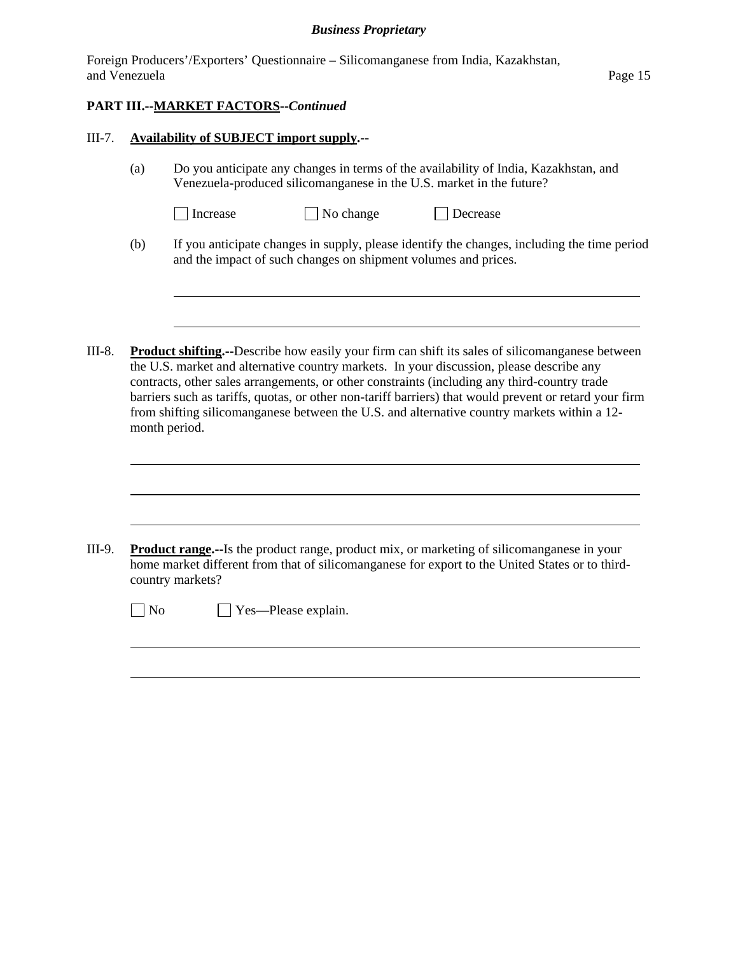|               | Foreign Producers'/Exporters' Questionnaire – Silicomanganese from India, Kazakhstan, |         |
|---------------|---------------------------------------------------------------------------------------|---------|
| and Venezuela |                                                                                       | Page 15 |

# **PART III.--MARKET FACTORS--***Continued*

l

l

 $\overline{a}$ 

#### III-7. **Availability of SUBJECT import supply.--**

(a) Do you anticipate any changes in terms of the availability of India, Kazakhstan, and Venezuela-produced silicomanganese in the U.S. market in the future?

| 1 Increase |  |
|------------|--|
|------------|--|

- $\Box$  No change  $\Box$  Decrease
- (b) If you anticipate changes in supply, please identify the changes, including the time period and the impact of such changes on shipment volumes and prices.
- III-8. **Product shifting.--**Describe how easily your firm can shift its sales of silicomanganese between the U.S. market and alternative country markets. In your discussion, please describe any contracts, other sales arrangements, or other constraints (including any third-country trade barriers such as tariffs, quotas, or other non-tariff barriers) that would prevent or retard your firm from shifting silicomanganese between the U.S. and alternative country markets within a 12 month period.

| III-9. | <b>Product range.</b> --Is the product range, product mix, or marketing of silicomanganese in your<br>home market different from that of silicomanganese for export to the United States or to third-<br>country markets? |                            |  |  |  |  |  |
|--------|---------------------------------------------------------------------------------------------------------------------------------------------------------------------------------------------------------------------------|----------------------------|--|--|--|--|--|
|        | N <sub>0</sub>                                                                                                                                                                                                            | $\Box$ Yes—Please explain. |  |  |  |  |  |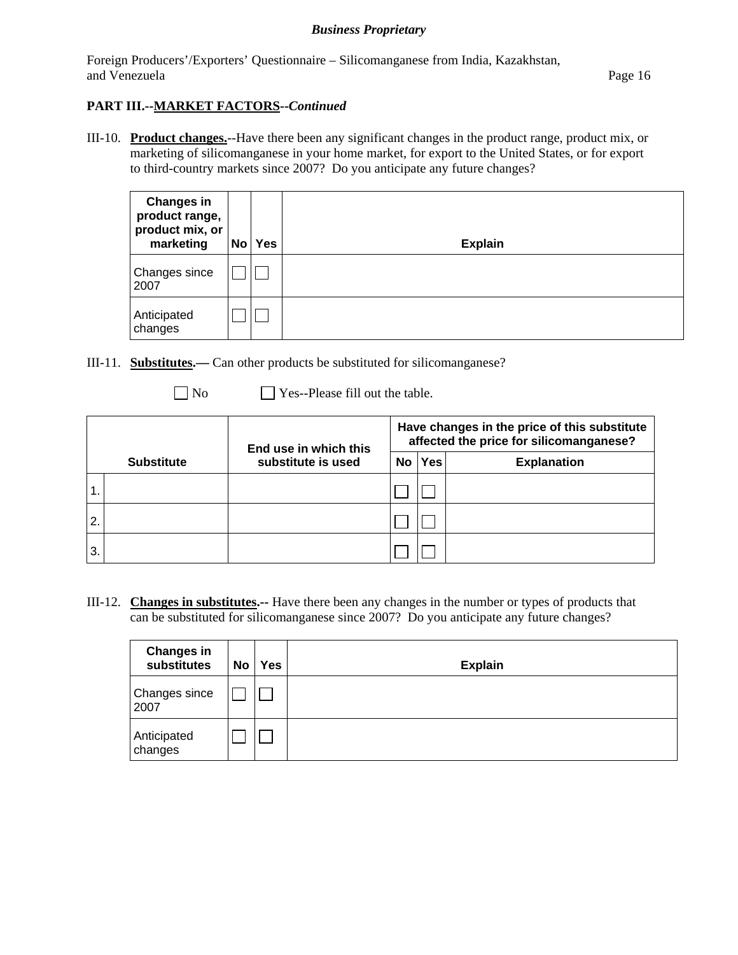Foreign Producers'/Exporters' Questionnaire – Silicomanganese from India, Kazakhstan, and Venezuela **Page 16** 

# **PART III.--MARKET FACTORS--***Continued*

III-10. **Product changes.**--Have there been any significant changes in the product range, product mix, or marketing of silicomanganese in your home market, for export to the United States, or for export to third-country markets since 2007? Do you anticipate any future changes?

| <b>Changes in</b><br>product range,<br>product mix, or<br>marketing | <b>No</b> | <b>Yes</b> | <b>Explain</b> |
|---------------------------------------------------------------------|-----------|------------|----------------|
| Changes since<br>2007                                               |           |            |                |
| Anticipated<br>changes                                              |           |            |                |

- III-11. **Substitutes.—** Can other products be substituted for silicomanganese?
	-
	- No Ses--Please fill out the table.

|                   |  | End use in which this | Have changes in the price of this substitute<br>affected the price for silicomanganese? |     |                    |  |
|-------------------|--|-----------------------|-----------------------------------------------------------------------------------------|-----|--------------------|--|
| <b>Substitute</b> |  | substitute is used    | No                                                                                      | Yes | <b>Explanation</b> |  |
|                   |  |                       |                                                                                         |     |                    |  |
| 2.                |  |                       |                                                                                         |     |                    |  |
| 3.                |  |                       |                                                                                         |     |                    |  |

III-12. **Changes in substitutes.--** Have there been any changes in the number or types of products that can be substituted for silicomanganese since 2007? Do you anticipate any future changes?

| <b>Changes in</b><br>substitutes | No <sub>1</sub> | Yes | <b>Explain</b> |
|----------------------------------|-----------------|-----|----------------|
| <b>Changes since</b><br>2007     |                 |     |                |
| Anticipated<br>changes           |                 |     |                |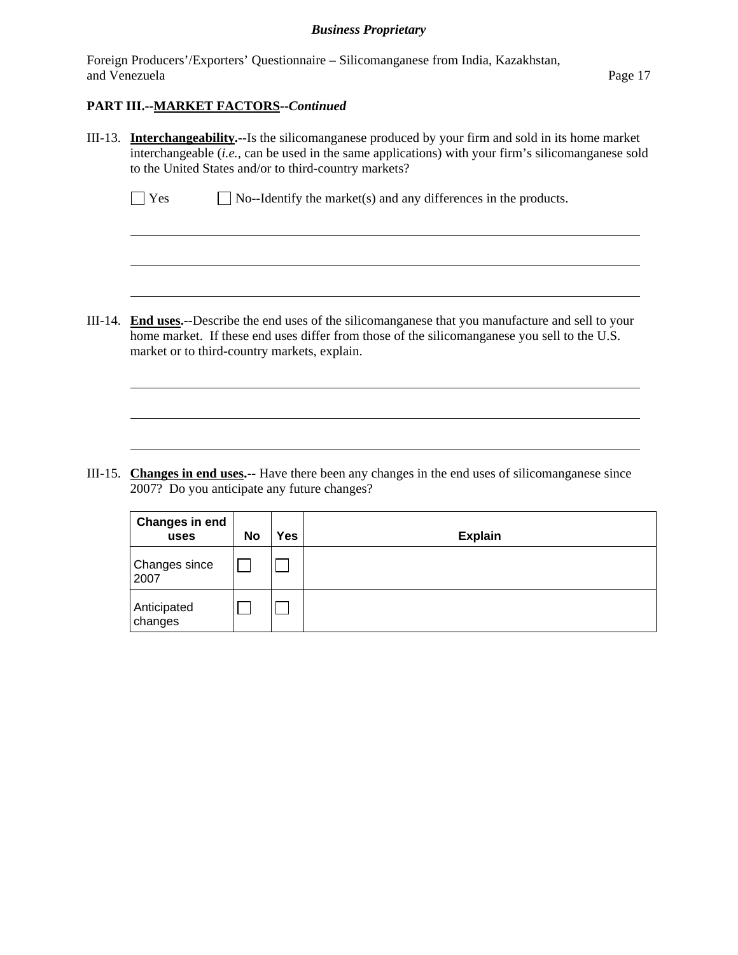Foreign Producers'/Exporters' Questionnaire – Silicomanganese from India, Kazakhstan, and Venezuela **Page 17** 

### **PART III.--MARKET FACTORS--***Continued*

 $\overline{a}$ 

l

III-13. **Interchangeability.--**Is the silicomanganese produced by your firm and sold in its home market interchangeable (*i.e.*, can be used in the same applications) with your firm's silicomanganese sold to the United States and/or to third-country markets?

 $\Box$  Yes  $\Box$  No--Identify the market(s) and any differences in the products.

III-14. **End uses.--**Describe the end uses of the silicomanganese that you manufacture and sell to your home market. If these end uses differ from those of the silicomanganese you sell to the U.S. market or to third-country markets, explain.

III-15. **Changes in end uses.--** Have there been any changes in the end uses of silicomanganese since 2007? Do you anticipate any future changes?

| <b>Changes in end</b><br>uses | No | Yes | <b>Explain</b> |
|-------------------------------|----|-----|----------------|
| Changes since<br>2007         |    |     |                |
| Anticipated<br>changes        |    |     |                |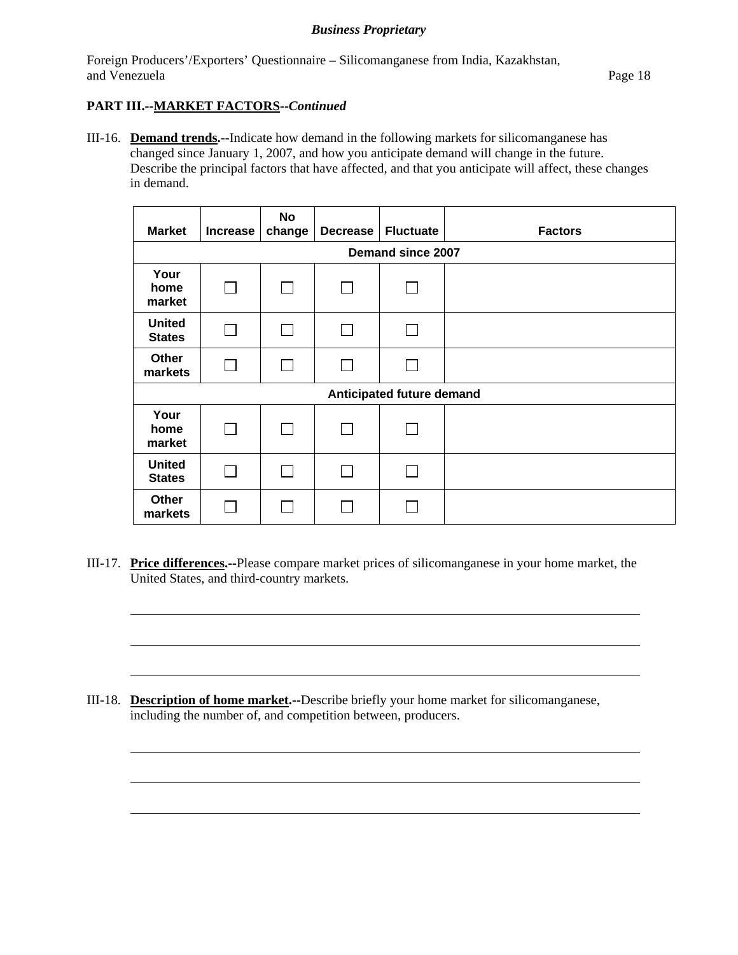Foreign Producers'/Exporters' Questionnaire – Silicomanganese from India, Kazakhstan, and Venezuela Page 18

# **PART III.--MARKET FACTORS--***Continued*

l

l

III-16. **Demand trends.--**Indicate how demand in the following markets for silicomanganese has changed since January 1, 2007, and how you anticipate demand will change in the future. Describe the principal factors that have affected, and that you anticipate will affect, these changes in demand.

| <b>Market</b>                  | <b>Increase</b>           | No<br>change | <b>Decrease</b> | <b>Fluctuate</b> | <b>Factors</b> |  |  |
|--------------------------------|---------------------------|--------------|-----------------|------------------|----------------|--|--|
|                                | Demand since 2007         |              |                 |                  |                |  |  |
| Your<br>home<br>market         | $\Box$                    |              | L               |                  |                |  |  |
| <b>United</b><br><b>States</b> | П                         |              | $\mathbb{R}^n$  |                  |                |  |  |
| Other<br>markets               | $\Box$                    |              | $\mathbf{I}$    |                  |                |  |  |
|                                | Anticipated future demand |              |                 |                  |                |  |  |
| Your<br>home<br>market         | П                         |              | $\Box$          |                  |                |  |  |
| <b>United</b><br><b>States</b> |                           |              |                 |                  |                |  |  |
| <b>Other</b><br>markets        |                           |              |                 |                  |                |  |  |

III-17. **Price differences.--**Please compare market prices of silicomanganese in your home market, the United States, and third-country markets.

III-18. **Description of home market.--**Describe briefly your home market for silicomanganese, including the number of, and competition between, producers.